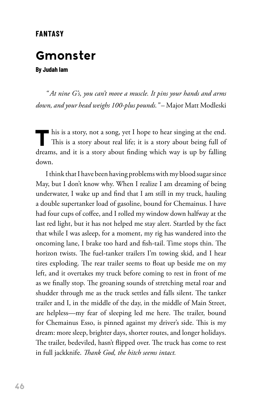## **FANTASY**

## **Gmonster**

**By Judah Iam**

*" At nine G's, you can't move a muscle. It pins your hands and arms down, and your head weighs 100-plus pounds."* – Major Matt Modleski

This is a story, not a song, yet I hope to hear singing at the end.<br>This is a story about real life; it is a story about being full of dreams, and it is a story about finding which way is up by falling down.

I think that I have been having problems with my blood sugar since May, but I don't know why. When I realize I am dreaming of being underwater, I wake up and find that I am still in my truck, hauling a double supertanker load of gasoline, bound for Chemainus. I have had four cups of coffee, and I rolled my window down halfway at the last red light, but it has not helped me stay alert. Startled by the fact that while I was asleep, for a moment, my rig has wandered into the oncoming lane, I brake too hard and fish-tail. Time stops thin. The horizon twists. The fuel-tanker trailers I'm towing skid, and I hear tires exploding. The rear trailer seems to float up beside me on my left, and it overtakes my truck before coming to rest in front of me as we finally stop. The groaning sounds of stretching metal roar and shudder through me as the truck settles and falls silent. The tanker trailer and I, in the middle of the day, in the middle of Main Street, are helpless—my fear of sleeping led me here. The trailer, bound for Chemainus Esso, is pinned against my driver's side. This is my dream: more sleep, brighter days, shorter routes, and longer holidays. The trailer, bedeviled, hasn't flipped over. The truck has come to rest in full jackknife. *Thank God, the hitch seems intact.*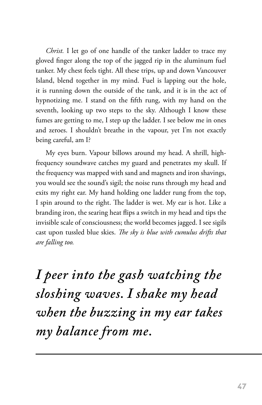*Christ.* I let go of one handle of the tanker ladder to trace my gloved finger along the top of the jagged rip in the aluminum fuel tanker. My chest feels tight. All these trips, up and down Vancouver Island, blend together in my mind. Fuel is lapping out the hole, it is running down the outside of the tank, and it is in the act of hypnotizing me. I stand on the fifth rung, with my hand on the seventh, looking up two steps to the sky. Although I know these fumes are getting to me, I step up the ladder. I see below me in ones and zeroes. I shouldn't breathe in the vapour, yet I'm not exactly being careful, am I?

My eyes burn. Vapour billows around my head. A shrill, highfrequency soundwave catches my guard and penetrates my skull. If the frequency was mapped with sand and magnets and iron shavings, you would see the sound's sigil; the noise runs through my head and exits my right ear. My hand holding one ladder rung from the top, I spin around to the right. The ladder is wet. My ear is hot. Like a branding iron, the searing heat flips a switch in my head and tips the invisible scale of consciousness; the world becomes jagged. I see sigils cast upon tussled blue skies. *The sky is blue with cumulus drifts that are falling too.*

*I peer into the gash watching the sloshing waves. I shake my head when the buzzing in my ear takes my balance from me.*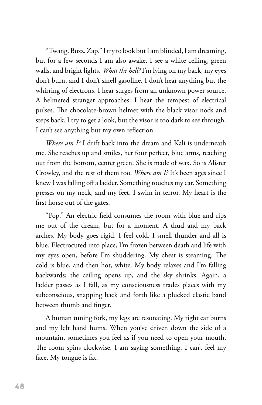"Twang. Buzz. Zap." I try to look but I am blinded, I am dreaming, but for a few seconds I am also awake. I see a white ceiling, green walls, and bright lights. *What the hell?* I'm lying on my back, my eyes don't burn, and I don't smell gasoline. I don't hear anything but the whirring of electrons. I hear surges from an unknown power source. A helmeted stranger approaches. I hear the tempest of electrical pulses. The chocolate-brown helmet with the black visor nods and steps back. I try to get a look, but the visor is too dark to see through. I can't see anything but my own reflection.

*Where am I?* I drift back into the dream and Kali is underneath me. She reaches up and smiles, her four perfect, blue arms, reaching out from the bottom, center green. She is made of wax. So is Alister Crowley, and the rest of them too. *Where am I?* It's been ages since I knew I was falling off a ladder. Something touches my ear. Something presses on my neck, and my feet. I swim in terror. My heart is the first horse out of the gates.

"Pop." An electric field consumes the room with blue and rips me out of the dream, but for a moment. A thud and my back arches. My body goes rigid. I feel cold. I smell thunder and all is blue. Electrocuted into place, I'm frozen between death and life with my eyes open, before I'm shuddering. My chest is steaming. The cold is blue, and then hot, white. My body relaxes and I'm falling backwards; the ceiling opens up, and the sky shrinks. Again, a ladder passes as I fall, as my consciousness trades places with my subconscious, snapping back and forth like a plucked elastic band between thumb and finger.

A human tuning fork, my legs are resonating. My right ear burns and my left hand hums. When you've driven down the side of a mountain, sometimes you feel as if you need to open your mouth. The room spins clockwise. I am saying something. I can't feel my face. My tongue is fat.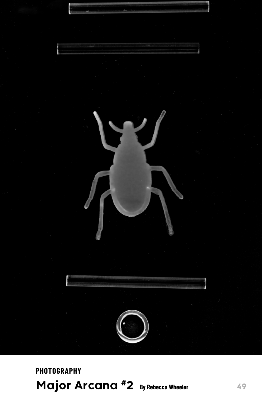

**PHOTOGRAPHY Major Arcana #2 By Rebecca Wheeler**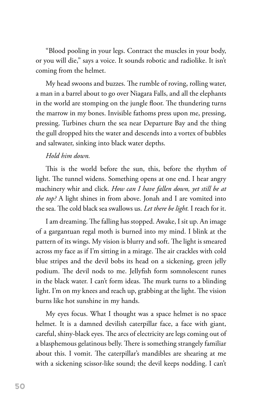"Blood pooling in your legs. Contract the muscles in your body, or you will die," says a voice. It sounds robotic and radiolike. It isn't coming from the helmet.

My head swoons and buzzes. The rumble of roving, rolling water, a man in a barrel about to go over Niagara Falls, and all the elephants in the world are stomping on the jungle floor. The thundering turns the marrow in my bones. Invisible fathoms press upon me, pressing, pressing. Turbines churn the sea near Departure Bay and the thing the gull dropped hits the water and descends into a vortex of bubbles and saltwater, sinking into black water depths.

## *Hold him down.*

This is the world before the sun, this, before the rhythm of light. The tunnel widens. Something opens at one end. I hear angry machinery whir and click. *How can I have fallen down, yet still be at the top?* A light shines in from above. Jonah and I are vomited into the sea. The cold black sea swallows us. *Let there be light.* I reach for it.

I am dreaming. The falling has stopped. Awake, I sit up. An image of a gargantuan regal moth is burned into my mind. I blink at the pattern of its wings. My vision is blurry and soft. The light is smeared across my face as if I'm sitting in a mirage. The air crackles with cold blue stripes and the devil bobs its head on a sickening, green jelly podium. The devil nods to me. Jellyfish form somnolescent runes in the black water. I can't form ideas. The murk turns to a blinding light. I'm on my knees and reach up, grabbing at the light. The vision burns like hot sunshine in my hands.

My eyes focus. What I thought was a space helmet is no space helmet. It is a damned devilish caterpillar face, a face with giant, careful, shiny-black eyes. The arcs of electricity are legs coming out of a blasphemous gelatinous belly. There is something strangely familiar about this. I vomit. The caterpillar's mandibles are shearing at me with a sickening scissor-like sound; the devil keeps nodding. I can't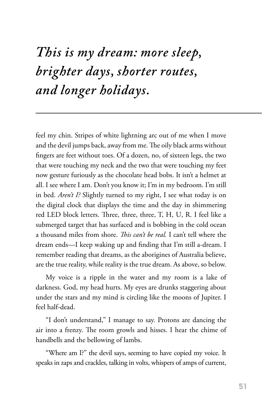## *This is my dream: more sleep, brighter days, shorter routes, and longer holidays.*

feel my chin. Stripes of white lightning arc out of me when I move and the devil jumps back, away from me. The oily black arms without fingers are feet without toes. Of a dozen, no, of sixteen legs, the two that were touching my neck and the two that were touching my feet now gesture furiously as the chocolate head bobs. It isn't a helmet at all. I see where I am. Don't you know it; I'm in my bedroom. I'm still in bed. *Aren't I?* Slightly turned to my right, I see what today is on the digital clock that displays the time and the day in shimmering red LED block letters. Three, three, three, T, H, U, R. I feel like a submerged target that has surfaced and is bobbing in the cold ocean a thousand miles from shore. *This can't be real.* I can't tell where the dream ends—I keep waking up and finding that I'm still a-dream. I remember reading that dreams, as the aborigines of Australia believe, are the true reality, while reality is the true dream. As above, so below.

My voice is a ripple in the water and my room is a lake of darkness. God, my head hurts. My eyes are drunks staggering about under the stars and my mind is circling like the moons of Jupiter. I feel half-dead.

"I don't understand," I manage to say. Protons are dancing the air into a frenzy. The room growls and hisses. I hear the chime of handbells and the bellowing of lambs.

"Where am I?" the devil says, seeming to have copied my voice. It speaks in zaps and crackles, talking in volts, whispers of amps of current,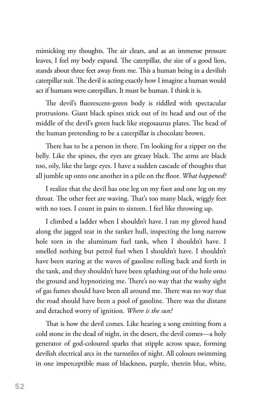mimicking my thoughts. The air clears, and as an immense pressure leaves, I feel my body expand. The caterpillar, the size of a good lion, stands about three feet away from me. This a human being in a devilish caterpillar suit. The devil is acting exactly how I imagine a human would act if humans were caterpillars. It must be human. I think it is.

The devil's fluorescent-green body is riddled with spectacular protrusions. Giant black spines stick out of its head and out of the middle of the devil's green back like stegosaurus plates. The head of the human pretending to be a caterpillar is chocolate brown.

There has to be a person in there. I'm looking for a zipper on the belly. Like the spines, the eyes are greasy black. The arms are black too, oily, like the large eyes. I have a sudden cascade of thoughts that all jumble up onto one another in a pile on the floor. *What happened?*

I realize that the devil has one leg on my foot and one leg on my throat. The other feet are waving. That's too many black, wiggly feet with no toes. I count in pairs to sixteen. I feel like throwing up.

I climbed a ladder when I shouldn't have. I ran my gloved hand along the jagged tear in the tanker hull, inspecting the long narrow hole torn in the aluminum fuel tank, when I shouldn't have. I smelled nothing but petrol fuel when I shouldn't have. I shouldn't have been staring at the waves of gasoline rolling back and forth in the tank, and they shouldn't have been splashing out of the hole onto the ground and hypnotizing me. There's no way that the washy sight of gas fumes should have been all around me. There was no way that the road should have been a pool of gasoline. There was the distant and detached worry of ignition. *Where is the sun?*

That is how the devil comes. Like hearing a song emitting from a cold stone in the dead of night, in the desert, the devil comes—a holy generator of god-coloured sparks that stipple across space, forming devilish electrical arcs in the turnstiles of night. All colours swimming in one imperceptible mass of blackness, purple, therein blue, white,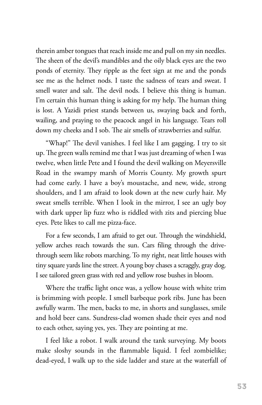therein amber tongues that reach inside me and pull on my sin needles. The sheen of the devil's mandibles and the oily black eyes are the two ponds of eternity. They ripple as the feet sign at me and the ponds see me as the helmet nods. I taste the sadness of tears and sweat. I smell water and salt. The devil nods. I believe this thing is human. I'm certain this human thing is asking for my help. The human thing is lost. A Yazidi priest stands between us, swaying back and forth, wailing, and praying to the peacock angel in his language. Tears roll down my cheeks and I sob. The air smells of strawberries and sulfur.

"Whap!" The devil vanishes. I feel like I am gagging. I try to sit up. The green walls remind me that I was just dreaming of when I was twelve, when little Pete and I found the devil walking on Meyersville Road in the swampy marsh of Morris County. My growth spurt had come early. I have a boy's moustache, and new, wide, strong shoulders, and I am afraid to look down at the new curly hair. My sweat smells terrible. When I look in the mirror, I see an ugly boy with dark upper lip fuzz who is riddled with zits and piercing blue eyes. Pete likes to call me pizza-face.

For a few seconds, I am afraid to get out. Through the windshield, yellow arches reach towards the sun. Cars filing through the drivethrough seem like robots marching. To my right, neat little houses with tiny square yards line the street. A young boy chases a scraggly, gray dog. I see tailored green grass with red and yellow rose bushes in bloom.

Where the traffic light once was, a yellow house with white trim is brimming with people. I smell barbeque pork ribs. June has been awfully warm. The men, backs to me, in shorts and sunglasses, smile and hold beer cans. Sundress-clad women shade their eyes and nod to each other, saying yes, yes. They are pointing at me.

I feel like a robot. I walk around the tank surveying. My boots make sloshy sounds in the flammable liquid. I feel zombielike; dead-eyed, I walk up to the side ladder and stare at the waterfall of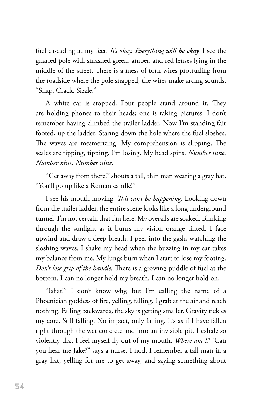fuel cascading at my feet. *It's okay. Everything will be okay.* I see the gnarled pole with smashed green, amber, and red lenses lying in the middle of the street. There is a mess of torn wires protruding from the roadside where the pole snapped; the wires make arcing sounds. "Snap. Crack. Sizzle."

A white car is stopped. Four people stand around it. They are holding phones to their heads; one is taking pictures. I don't remember having climbed the trailer ladder. Now I'm standing fair footed, up the ladder. Staring down the hole where the fuel sloshes. The waves are mesmerizing. My comprehension is slipping. The scales are tipping, tipping. I'm losing. My head spins. *Number nine. Number nine. Number nine.*

"Get away from there!" shouts a tall, thin man wearing a gray hat. "You'll go up like a Roman candle!"

I see his mouth moving. *This can't be happening.* Looking down from the trailer ladder, the entire scene looks like a long underground tunnel. I'm not certain that I'm here. My overalls are soaked. Blinking through the sunlight as it burns my vision orange tinted. I face upwind and draw a deep breath. I peer into the gash, watching the sloshing waves. I shake my head when the buzzing in my ear takes my balance from me. My lungs burn when I start to lose my footing. *Don't lose grip of the handle.* There is a growing puddle of fuel at the bottom. I can no longer hold my breath. I can no longer hold on.

"Ishat!" I don't know why, but I'm calling the name of a Phoenician goddess of fire, yelling, falling. I grab at the air and reach nothing. Falling backwards, the sky is getting smaller. Gravity tickles my core. Still falling. No impact, only falling. It's as if I have fallen right through the wet concrete and into an invisible pit. I exhale so violently that I feel myself fly out of my mouth. *Where am I?* "Can you hear me Jake?" says a nurse. I nod. I remember a tall man in a gray hat, yelling for me to get away, and saying something about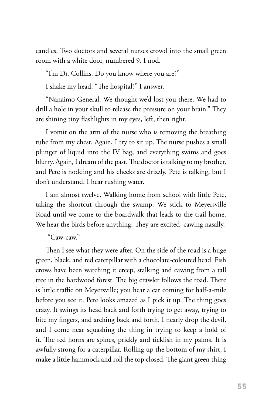candles. Two doctors and several nurses crowd into the small green room with a white door, numbered 9. I nod.

"I'm Dr. Collins. Do you know where you are?"

I shake my head. "The hospital?" I answer.

"Nanaimo General. We thought we'd lost you there. We had to drill a hole in your skull to release the pressure on your brain." They are shining tiny flashlights in my eyes, left, then right.

I vomit on the arm of the nurse who is removing the breathing tube from my chest. Again, I try to sit up. The nurse pushes a small plunger of liquid into the IV bag, and everything swims and goes blurry. Again, I dream of the past. The doctor is talking to my brother, and Pete is nodding and his cheeks are drizzly. Pete is talking, but I don't understand. I hear rushing water.

I am almost twelve. Walking home from school with little Pete, taking the shortcut through the swamp. We stick to Meyersville Road until we come to the boardwalk that leads to the trail home. We hear the birds before anything. They are excited, cawing nasally.

"Caw-caw."

Then I see what they were after. On the side of the road is a huge green, black, and red caterpillar with a chocolate-coloured head. Fish crows have been watching it creep, stalking and cawing from a tall tree in the hardwood forest. The big crawler follows the road. There is little traffic on Meyersville; you hear a car coming for half-a-mile before you see it. Pete looks amazed as I pick it up. The thing goes crazy. It swings its head back and forth trying to get away, trying to bite my fingers, and arching back and forth. I nearly drop the devil, and I come near squashing the thing in trying to keep a hold of it. The red horns are spines, prickly and ticklish in my palms. It is awfully strong for a caterpillar. Rolling up the bottom of my shirt, I make a little hammock and roll the top closed. The giant green thing